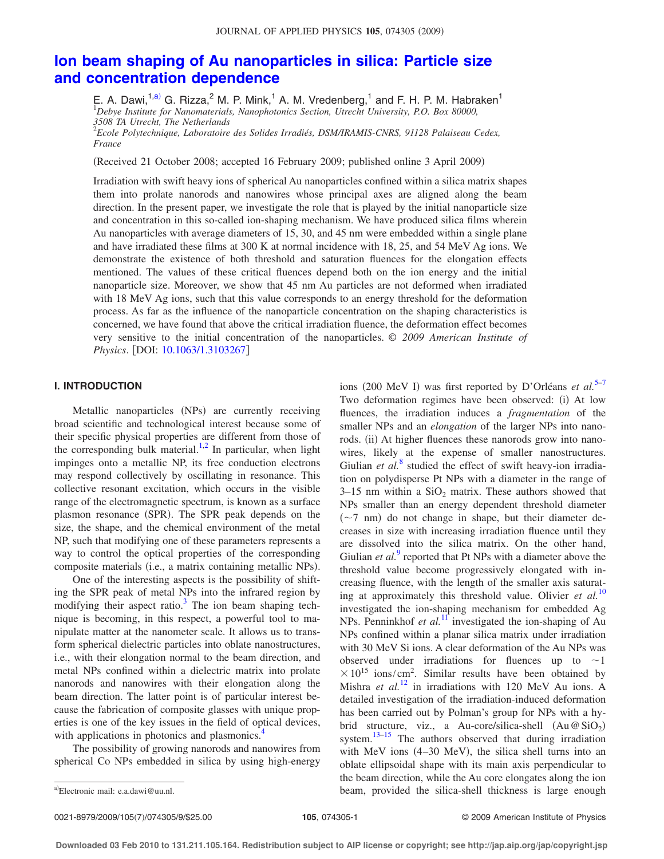# **Ion beam shaping of Au nanoparticles in silica: Particle size and concentration dependence**

E. A. Dawi,<sup>1,a)</sup> G. Rizza,<sup>2</sup> M. P. Mink,<sup>1</sup> A. M. Vredenberg,<sup>1</sup> and F. H. P. M. Habraken<sup>1</sup> <sup>1</sup>*Debye Institute for Nanomaterials, Nanophotonics Section, Utrecht University, P.O. Box 80000, 3508 TA Utrecht, The Netherlands*

2 *Ecole Polytechnique, Laboratoire des Solides Irradiés, DSM/IRAMIS-CNRS, 91128 Palaiseau Cedex, France*

Received 21 October 2008; accepted 16 February 2009; published online 3 April 2009-

Irradiation with swift heavy ions of spherical Au nanoparticles confined within a silica matrix shapes them into prolate nanorods and nanowires whose principal axes are aligned along the beam direction. In the present paper, we investigate the role that is played by the initial nanoparticle size and concentration in this so-called ion-shaping mechanism. We have produced silica films wherein Au nanoparticles with average diameters of 15, 30, and 45 nm were embedded within a single plane and have irradiated these films at 300 K at normal incidence with 18, 25, and 54 MeV Ag ions. We demonstrate the existence of both threshold and saturation fluences for the elongation effects mentioned. The values of these critical fluences depend both on the ion energy and the initial nanoparticle size. Moreover, we show that 45 nm Au particles are not deformed when irradiated with 18 MeV Ag ions, such that this value corresponds to an energy threshold for the deformation process. As far as the influence of the nanoparticle concentration on the shaping characteristics is concerned, we have found that above the critical irradiation fluence, the deformation effect becomes very sensitive to the initial concentration of the nanoparticles. © *2009 American Institute of Physics*. [DOI: 10.1063/1.3103267]

# **I. INTRODUCTION**

Metallic nanoparticles (NPs) are currently receiving broad scientific and technological interest because some of their specific physical properties are different from those of the corresponding bulk material.<sup>1,2</sup> In particular, when light impinges onto a metallic NP, its free conduction electrons may respond collectively by oscillating in resonance. This collective resonant excitation, which occurs in the visible range of the electromagnetic spectrum, is known as a surface plasmon resonance (SPR). The SPR peak depends on the size, the shape, and the chemical environment of the metal NP, such that modifying one of these parameters represents a way to control the optical properties of the corresponding composite materials (i.e., a matrix containing metallic NPs).

One of the interesting aspects is the possibility of shifting the SPR peak of metal NPs into the infrared region by modifying their aspect ratio.<sup>3</sup> The ion beam shaping technique is becoming, in this respect, a powerful tool to manipulate matter at the nanometer scale. It allows us to transform spherical dielectric particles into oblate nanostructures, i.e., with their elongation normal to the beam direction, and metal NPs confined within a dielectric matrix into prolate nanorods and nanowires with their elongation along the beam direction. The latter point is of particular interest because the fabrication of composite glasses with unique properties is one of the key issues in the field of optical devices, with applications in photonics and plasmonics.<sup>4</sup>

The possibility of growing nanorods and nanowires from spherical Co NPs embedded in silica by using high-energy

ions (200 MeV I) was first reported by D'Orléans *et al.*<sup>5–7</sup> Two deformation regimes have been observed: (i) At low fluences, the irradiation induces a *fragmentation* of the smaller NPs and an *elongation* of the larger NPs into nanorods. (ii) At higher fluences these nanorods grow into nanowires, likely at the expense of smaller nanostructures. Giulian *et al.*<sup>8</sup> studied the effect of swift heavy-ion irradiation on polydisperse Pt NPs with a diameter in the range of  $3-15$  nm within a SiO<sub>2</sub> matrix. These authors showed that NPs smaller than an energy dependent threshold diameter  $({\sim}7$  nm) do not change in shape, but their diameter decreases in size with increasing irradiation fluence until they are dissolved into the silica matrix. On the other hand, Giulian *et al.*<sup>9</sup> reported that Pt NPs with a diameter above the threshold value become progressively elongated with increasing fluence, with the length of the smaller axis saturating at approximately this threshold value. Olivier *et al.*<sup>10</sup> investigated the ion-shaping mechanism for embedded Ag NPs. Penninkhof *et al.*<sup>11</sup> investigated the ion-shaping of Au NPs confined within a planar silica matrix under irradiation with 30 MeV Si ions. A clear deformation of the Au NPs was observed under irradiations for fluences up to  $\sim$ 1  $\times 10^{15}$  ions/cm<sup>2</sup>. Similar results have been obtained by Mishra *et al.*<sup>12</sup> in irradiations with 120 MeV Au ions. A detailed investigation of the irradiation-induced deformation has been carried out by Polman's group for NPs with a hybrid structure, viz., a Au-core/silica-shell  $(Au \otimes SiO_2)$ system.<sup>13–15</sup> The authors observed that during irradiation with MeV ions  $(4-30 \text{ MeV})$ , the silica shell turns into an oblate ellipsoidal shape with its main axis perpendicular to the beam direction, while the Au core elongates along the ion beam, provided the silica-shell thickness is large enough

0021-8979/2009/105(7)/074305/9/\$25.00

Electronic mail: e.a.dawi@uu.nl.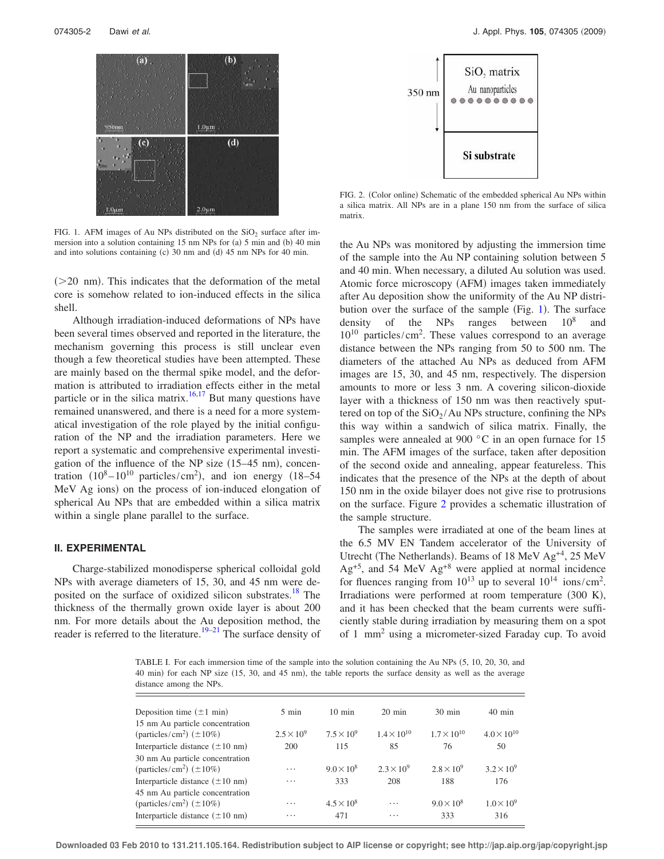

FIG. 1. AFM images of Au NPs distributed on the  $SiO_2$  surface after immersion into a solution containing 15 nm NPs for (a) 5 min and (b) 40 min and into solutions containing (c) 30 nm and (d) 45 nm NPs for 40 min.

 $($ >20 nm). This indicates that the deformation of the metal core is somehow related to ion-induced effects in the silica shell.

Although irradiation-induced deformations of NPs have been several times observed and reported in the literature, the mechanism governing this process is still unclear even though a few theoretical studies have been attempted. These are mainly based on the thermal spike model, and the deformation is attributed to irradiation effects either in the metal particle or in the silica matrix.<sup>16,17</sup> But many questions have remained unanswered, and there is a need for a more systematical investigation of the role played by the initial configuration of the NP and the irradiation parameters. Here we report a systematic and comprehensive experimental investigation of the influence of the NP size  $(15-45 \text{ nm})$ , concentration  $(10^8 - 10^{10} \text{ particles/cm}^2)$ , and ion energy  $(18 - 54$ MeV Ag ions) on the process of ion-induced elongation of spherical Au NPs that are embedded within a silica matrix within a single plane parallel to the surface.

# **II. EXPERIMENTAL**

Charge-stabilized monodisperse spherical colloidal gold NPs with average diameters of 15, 30, and 45 nm were deposited on the surface of oxidized silicon substrates.<sup>18</sup> The thickness of the thermally grown oxide layer is about 200 nm. For more details about the Au deposition method, the reader is referred to the literature.<sup>19–21</sup> The surface density of



FIG. 2. (Color online) Schematic of the embedded spherical Au NPs within a silica matrix. All NPs are in a plane 150 nm from the surface of silica matrix.

the Au NPs was monitored by adjusting the immersion time of the sample into the Au NP containing solution between 5 and 40 min. When necessary, a diluted Au solution was used. Atomic force microscopy (AFM) images taken immediately after Au deposition show the uniformity of the Au NP distribution over the surface of the sample (Fig. 1). The surface density of the NPs ranges between  $10^8$ and 10<sup>10</sup> particles/cm<sup>2</sup> . These values correspond to an average distance between the NPs ranging from 50 to 500 nm. The diameters of the attached Au NPs as deduced from AFM images are 15, 30, and 45 nm, respectively. The dispersion amounts to more or less 3 nm. A covering silicon-dioxide layer with a thickness of 150 nm was then reactively sputtered on top of the  $SiO_2/Au$  NPs structure, confining the NPs this way within a sandwich of silica matrix. Finally, the samples were annealed at 900 °C in an open furnace for 15 min. The AFM images of the surface, taken after deposition of the second oxide and annealing, appear featureless. This indicates that the presence of the NPs at the depth of about 150 nm in the oxide bilayer does not give rise to protrusions on the surface. Figure 2 provides a schematic illustration of the sample structure.

The samples were irradiated at one of the beam lines at the 6.5 MV EN Tandem accelerator of the University of Utrecht (The Netherlands). Beams of 18 MeV Ag<sup>+4</sup>, 25 MeV  $Ag<sup>+5</sup>$ , and 54 MeV  $Ag<sup>+8</sup>$  were applied at normal incidence for fluences ranging from  $10^{13}$  up to several  $10^{14}$  ions/cm<sup>2</sup>. Irradiations were performed at room temperature (300 K), and it has been checked that the beam currents were sufficiently stable during irradiation by measuring them on a spot of 1 mm<sup>2</sup> using a micrometer-sized Faraday cup. To avoid

TABLE I. For each immersion time of the sample into the solution containing the Au NPs (5, 10, 20, 30, and 40 min) for each NP size (15, 30, and 45 nm), the table reports the surface density as well as the average distance among the NPs.

| Deposition time $(\pm 1 \text{ min})$                                                                                        | 5 min               | $10 \text{ min}$           | $20 \text{ min}$     | $30 \text{ min}$         | $40 \text{ min}$           |
|------------------------------------------------------------------------------------------------------------------------------|---------------------|----------------------------|----------------------|--------------------------|----------------------------|
| 15 nm Au particle concentration<br>(particles/cm <sup>2</sup> ) $(\pm 10\%)$                                                 | $2.5 \times 10^{9}$ | $7.5 \times 10^{9}$        | $1.4 \times 10^{10}$ | $1.7 \times 10^{10}$     | $4.0 \times 10^{10}$       |
| Interparticle distance $(\pm 10 \text{ nm})$                                                                                 | 200                 | 115                        | 85                   | 76                       | 50                         |
| 30 nm Au particle concentration<br>(particles/cm <sup>2</sup> ) $(\pm 10\%)$                                                 | $\cdots$            | $9.0 \times 10^8$          | $2.3 \times 10^{9}$  | $2.8 \times 10^{9}$      | $3.2 \times 10^{9}$        |
| Interparticle distance $(\pm 10 \text{ nm})$                                                                                 | $\cdots$            | 333                        | 208                  | 188                      | 176                        |
| 45 nm Au particle concentration<br>(particles/cm <sup>2</sup> ) $(\pm 10\%)$<br>Interparticle distance $(\pm 10 \text{ nm})$ | $\cdots$<br>.       | $4.5 \times 10^{8}$<br>471 | $\cdots$<br>.        | $9.0 \times 10^8$<br>333 | $1.0 \times 10^{9}$<br>316 |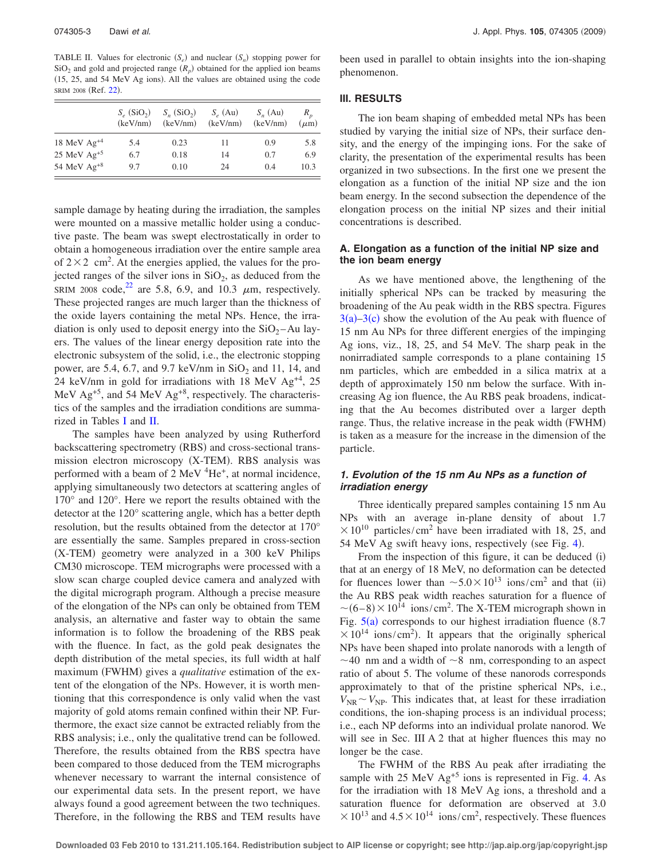TABLE II. Values for electronic  $(S_e)$  and nuclear  $(S_n)$  stopping power for  $SiO<sub>2</sub>$  and gold and projected range  $(R<sub>p</sub>)$  obtained for the applied ion beams (15, 25, and 54 MeV Ag ions). All the values are obtained using the code SRIM 2008 (Ref. 22).

|                  | $S_e$ (SiO <sub>2</sub> )<br>(keV/nm) | $S_n$ (SiO <sub>2</sub> )<br>(keV/nm) | $S_a$ (Au)<br>(keV/nm) | $S_n$ (Au)<br>(keV/nm) | $R_{n}$<br>$(\mu m)$ |
|------------------|---------------------------------------|---------------------------------------|------------------------|------------------------|----------------------|
| 18 MeV $Ag^{+4}$ | 5.4                                   | 0.23                                  | 11                     | 0.9                    | 5.8                  |
| 25 MeV $Ag^{+5}$ | 6.7                                   | 0.18                                  | 14                     | 0.7                    | 6.9                  |
| 54 MeV $Ag^{+8}$ | 9.7                                   | 0.10                                  | 24                     | 0.4                    | 10.3                 |

sample damage by heating during the irradiation, the samples were mounted on a massive metallic holder using a conductive paste. The beam was swept electrostatically in order to obtain a homogeneous irradiation over the entire sample area of  $2 \times 2$  cm<sup>2</sup>. At the energies applied, the values for the projected ranges of the silver ions in  $SiO<sub>2</sub>$ , as deduced from the SRIM 2008 code,<sup>22</sup> are 5.8, 6.9, and 10.3  $\mu$ m, respectively. These projected ranges are much larger than the thickness of the oxide layers containing the metal NPs. Hence, the irradiation is only used to deposit energy into the  $SiO<sub>2</sub> - Au$  layers. The values of the linear energy deposition rate into the electronic subsystem of the solid, i.e., the electronic stopping power, are 5.4, 6.7, and 9.7 keV/nm in  $SiO<sub>2</sub>$  and 11, 14, and 24 keV/nm in gold for irradiations with 18 MeV Ag+4, 25 MeV Ag<sup>+5</sup>, and 54 MeV Ag<sup>+8</sup>, respectively. The characteristics of the samples and the irradiation conditions are summarized in Tables I and II.

The samples have been analyzed by using Rutherford backscattering spectrometry (RBS) and cross-sectional transmission electron microscopy (X-TEM). RBS analysis was performed with a beam of 2 MeV <sup>4</sup>He<sup>+</sup>, at normal incidence, applying simultaneously two detectors at scattering angles of 170° and 120°. Here we report the results obtained with the detector at the 120° scattering angle, which has a better depth resolution, but the results obtained from the detector at 170° are essentially the same. Samples prepared in cross-section (X-TEM) geometry were analyzed in a 300 keV Philips CM30 microscope. TEM micrographs were processed with a slow scan charge coupled device camera and analyzed with the digital micrograph program. Although a precise measure of the elongation of the NPs can only be obtained from TEM analysis, an alternative and faster way to obtain the same information is to follow the broadening of the RBS peak with the fluence. In fact, as the gold peak designates the depth distribution of the metal species, its full width at half maximum (FWHM) gives a *qualitative* estimation of the extent of the elongation of the NPs. However, it is worth mentioning that this correspondence is only valid when the vast majority of gold atoms remain confined within their NP. Furthermore, the exact size cannot be extracted reliably from the RBS analysis; i.e., only the qualitative trend can be followed. Therefore, the results obtained from the RBS spectra have been compared to those deduced from the TEM micrographs whenever necessary to warrant the internal consistence of our experimental data sets. In the present report, we have always found a good agreement between the two techniques. Therefore, in the following the RBS and TEM results have

been used in parallel to obtain insights into the ion-shaping phenomenon.

# **III. RESULTS**

The ion beam shaping of embedded metal NPs has been studied by varying the initial size of NPs, their surface density, and the energy of the impinging ions. For the sake of clarity, the presentation of the experimental results has been organized in two subsections. In the first one we present the elongation as a function of the initial NP size and the ion beam energy. In the second subsection the dependence of the elongation process on the initial NP sizes and their initial concentrations is described.

# **A. Elongation as a function of the initial NP size and the ion beam energy**

As we have mentioned above, the lengthening of the initially spherical NPs can be tracked by measuring the broadening of the Au peak width in the RBS spectra. Figures  $3(a) - 3(c)$  show the evolution of the Au peak with fluence of 15 nm Au NPs for three different energies of the impinging Ag ions, viz., 18, 25, and 54 MeV. The sharp peak in the nonirradiated sample corresponds to a plane containing 15 nm particles, which are embedded in a silica matrix at a depth of approximately 150 nm below the surface. With increasing Ag ion fluence, the Au RBS peak broadens, indicating that the Au becomes distributed over a larger depth range. Thus, the relative increase in the peak width (FWHM) is taken as a measure for the increase in the dimension of the particle.

# **1. Evolution of the 15 nm Au NPs as a function of irradiation energy**

Three identically prepared samples containing 15 nm Au NPs with an average in-plane density of about 1.7  $\times 10^{10}$  particles/cm<sup>2</sup> have been irradiated with 18, 25, and 54 MeV Ag swift heavy ions, respectively (see Fig. 4).

From the inspection of this figure, it can be deduced (i) that at an energy of 18 MeV, no deformation can be detected for fluences lower than  $\sim 5.0 \times 10^{13}$  ions/cm<sup>2</sup> and that (ii) the Au RBS peak width reaches saturation for a fluence of  $\sim (6-8) \times 10^{14}$  ions/cm<sup>2</sup>. The X-TEM micrograph shown in Fig.  $5(a)$  corresponds to our highest irradiation fluence (8.7)  $\times 10^{14}$  ions/cm<sup>2</sup>). It appears that the originally spherical NPs have been shaped into prolate nanorods with a length of  $\sim$ 40 nm and a width of  $\sim$ 8 nm, corresponding to an aspect ratio of about 5. The volume of these nanorods corresponds approximately to that of the pristine spherical NPs, i.e.,  $V_{\text{NP}} \sim V_{\text{NP}}$ . This indicates that, at least for these irradiation conditions, the ion-shaping process is an individual process; i.e., each NP deforms into an individual prolate nanorod. We will see in Sec. III A 2 that at higher fluences this may no longer be the case.

The FWHM of the RBS Au peak after irradiating the sample with 25 MeV  $\text{Ag}^{+5}$  ions is represented in Fig. 4. As for the irradiation with 18 MeV Ag ions, a threshold and a saturation fluence for deformation are observed at 3.0  $\times 10^{13}$  and  $4.5\times10^{14}$  ions/cm<sup>2</sup>, respectively. These fluences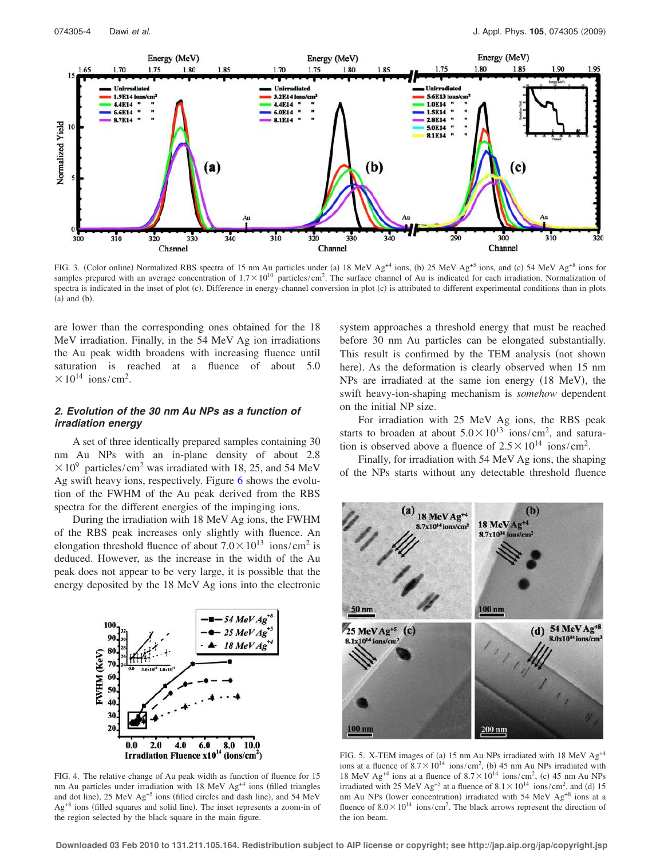

FIG. 3. (Color online) Normalized RBS spectra of 15 nm Au particles under (a) 18 MeV  $Ag^{+4}$  ions, (b) 25 MeV  $Ag^{+5}$  ions, and (c) 54 MeV  $Ag^{+8}$  ions for samples prepared with an average concentration of  $1.7 \times 10^{10}$  particles/cm<sup>2</sup>. The surface channel of Au is indicated for each irradiation. Normalization of spectra is indicated in the inset of plot (c). Difference in energy-channel conversion in plot (c) is attributed to different experimental conditions than in plots  $(a)$  and  $(b)$ .

are lower than the corresponding ones obtained for the 18 MeV irradiation. Finally, in the 54 MeV Ag ion irradiations the Au peak width broadens with increasing fluence until saturation is reached at a fluence of about 5.0  $\times 10^{14}$  ions/cm<sup>2</sup>.

# **2. Evolution of the 30 nm Au NPs as a function of irradiation energy**

A set of three identically prepared samples containing 30 nm Au NPs with an in-plane density of about 2.8  $\times 10^{9}$  particles/cm<sup>2</sup> was irradiated with 18, 25, and 54 MeV Ag swift heavy ions, respectively. Figure 6 shows the evolution of the FWHM of the Au peak derived from the RBS spectra for the different energies of the impinging ions.

During the irradiation with 18 MeV Ag ions, the FWHM of the RBS peak increases only slightly with fluence. An elongation threshold fluence of about  $7.0 \times 10^{13}$  ions/cm<sup>2</sup> is deduced. However, as the increase in the width of the Au peak does not appear to be very large, it is possible that the energy deposited by the 18 MeV Ag ions into the electronic



FIG. 4. The relative change of Au peak width as function of fluence for 15 nm Au particles under irradiation with  $18$  MeV Ag<sup>+4</sup> ions (filled triangles and dot line), 25 MeV Ag<sup>+5</sup> ions (filled circles and dash line), and 54 MeV  $Ag<sup>+8</sup>$  ions (filled squares and solid line). The inset represents a zoom-in of the region selected by the black square in the main figure.

system approaches a threshold energy that must be reached before 30 nm Au particles can be elongated substantially. This result is confirmed by the TEM analysis (not shown here). As the deformation is clearly observed when 15 nm NPs are irradiated at the same ion energy (18 MeV), the swift heavy-ion-shaping mechanism is *somehow* dependent on the initial NP size.

For irradiation with 25 MeV Ag ions, the RBS peak starts to broaden at about  $5.0 \times 10^{13}$  ions/cm<sup>2</sup>, and saturation is observed above a fluence of  $2.5 \times 10^{14}$  ions/cm<sup>2</sup>.

Finally, for irradiation with 54 MeV Ag ions, the shaping of the NPs starts without any detectable threshold fluence



FIG. 5. X-TEM images of (a) 15 nm Au NPs irradiated with 18 MeV  $Ag^{+4}$ ions at a fluence of  $8.7 \times 10^{14}$  ions/cm<sup>2</sup>, (b) 45 nm Au NPs irradiated with 18 MeV Ag<sup>+4</sup> ions at a fluence of  $8.7 \times 10^{14}$  ions/cm<sup>2</sup>, (c) 45 nm Au NPs irradiated with 25 MeV Ag<sup>+5</sup> at a fluence of  $8.1 \times 10^{14}$  ions/cm<sup>2</sup>, and (d) 15 nm Au NPs (lower concentration) irradiated with 54 MeV Ag<sup>+8</sup> ions at a fluence of  $8.0 \times 10^{14}$  ions/cm<sup>2</sup>. The black arrows represent the direction of the ion beam.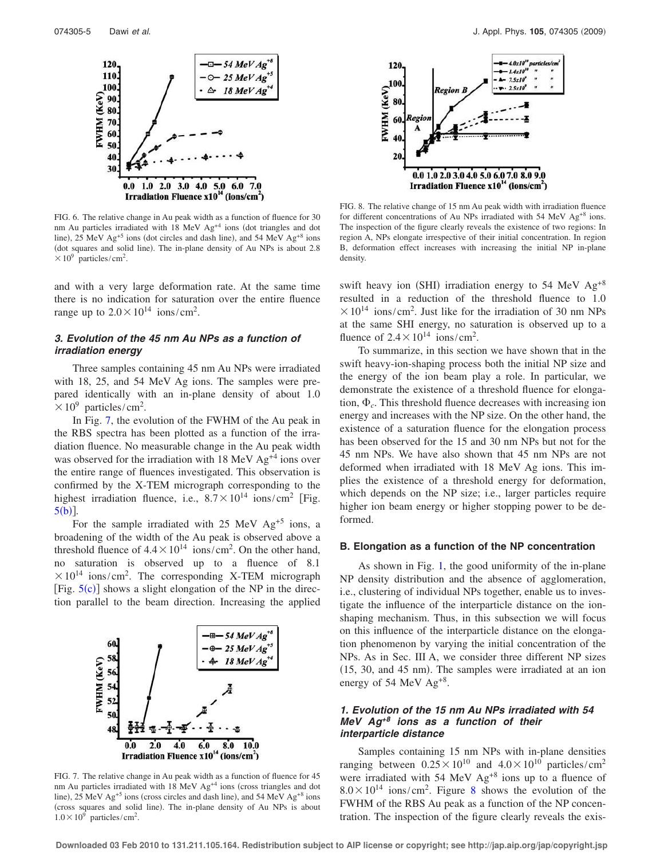

FIG. 6. The relative change in Au peak width as a function of fluence for 30 nm Au particles irradiated with 18 MeV Ag<sup>+4</sup> ions (dot triangles and dot line), 25 MeV  $Ag^{+5}$  ions (dot circles and dash line), and 54 MeV  $Ag^{+8}$  ions (dot squares and solid line). The in-plane density of Au NPs is about 2.8  $\times 10^9$  particles/cm<sup>2</sup>.

and with a very large deformation rate. At the same time there is no indication for saturation over the entire fluence range up to  $2.0 \times 10^{14}$  ions/cm<sup>2</sup>.

# **3. Evolution of the 45 nm Au NPs as a function of irradiation energy**

Three samples containing 45 nm Au NPs were irradiated with 18, 25, and 54 MeV Ag ions. The samples were prepared identically with an in-plane density of about 1.0  $\times 10^9$  particles/cm<sup>2</sup>.

In Fig. 7, the evolution of the FWHM of the Au peak in the RBS spectra has been plotted as a function of the irradiation fluence. No measurable change in the Au peak width was observed for the irradiation with  $18 \text{ MeV} \text{ Ag}^{+4}$  ions over the entire range of fluences investigated. This observation is confirmed by the X-TEM micrograph corresponding to the highest irradiation fluence, i.e.,  $8.7 \times 10^{14}$  ions/cm<sup>2</sup> [Fig.  $5(b)$ ].

For the sample irradiated with  $25$  MeV Ag<sup>+5</sup> ions, a broadening of the width of the Au peak is observed above a threshold fluence of  $4.4 \times 10^{14}$  ions/cm<sup>2</sup>. On the other hand, no saturation is observed up to a fluence of 8.1  $\times 10^{14}$  ions/cm<sup>2</sup>. The corresponding X-TEM micrograph [Fig.  $5(c)$ ] shows a slight elongation of the NP in the direction parallel to the beam direction. Increasing the applied



FIG. 7. The relative change in Au peak width as a function of fluence for 45 nm Au particles irradiated with  $18 \text{ MeV}$  Ag<sup>+4</sup> ions (cross triangles and dot line), 25 MeV  $Ag^{+5}$  ions (cross circles and dash line), and 54 MeV  $Ag^{+8}$  ions (cross squares and solid line). The in-plane density of Au NPs is about  $1.0 \times 10^9$  particles/cm<sup>2</sup>.



FIG. 8. The relative change of 15 nm Au peak width with irradiation fluence for different concentrations of Au NPs irradiated with 54 MeV  $Ag^{+8}$  ions. The inspection of the figure clearly reveals the existence of two regions: In region A, NPs elongate irrespective of their initial concentration. In region B, deformation effect increases with increasing the initial NP in-plane density.

swift heavy ion (SHI) irradiation energy to 54 MeV  $Ag^{+8}$ resulted in a reduction of the threshold fluence to 1.0  $\times 10^{14}$  ions/cm<sup>2</sup>. Just like for the irradiation of 30 nm NPs at the same SHI energy, no saturation is observed up to a fluence of  $2.4 \times 10^{14}$  ions/cm<sup>2</sup>.

To summarize, in this section we have shown that in the swift heavy-ion-shaping process both the initial NP size and the energy of the ion beam play a role. In particular, we demonstrate the existence of a threshold fluence for elongation,  $\Phi_c$ . This threshold fluence decreases with increasing ion energy and increases with the NP size. On the other hand, the existence of a saturation fluence for the elongation process has been observed for the 15 and 30 nm NPs but not for the 45 nm NPs. We have also shown that 45 nm NPs are not deformed when irradiated with 18 MeV Ag ions. This implies the existence of a threshold energy for deformation, which depends on the NP size; i.e., larger particles require higher ion beam energy or higher stopping power to be deformed.

#### **B. Elongation as a function of the NP concentration**

As shown in Fig. 1, the good uniformity of the in-plane NP density distribution and the absence of agglomeration, i.e., clustering of individual NPs together, enable us to investigate the influence of the interparticle distance on the ionshaping mechanism. Thus, in this subsection we will focus on this influence of the interparticle distance on the elongation phenomenon by varying the initial concentration of the NPs. As in Sec. III A, we consider three different NP sizes  $(15, 30,$  and  $45$  nm). The samples were irradiated at an ion energy of 54 MeV Ag<sup>+8</sup>.

# **1. Evolution of the 15 nm Au NPs irradiated with 54 MeV Ag+8 ions as a function of their interparticle distance**

Samples containing 15 nm NPs with in-plane densities ranging between  $0.25 \times 10^{10}$  and  $4.0 \times 10^{10}$  particles/cm<sup>2</sup> were irradiated with 54 MeV  $Ag^{+8}$  ions up to a fluence of  $8.0 \times 10^{14}$  ions/cm<sup>2</sup>. Figure 8 shows the evolution of the FWHM of the RBS Au peak as a function of the NP concentration. The inspection of the figure clearly reveals the exis-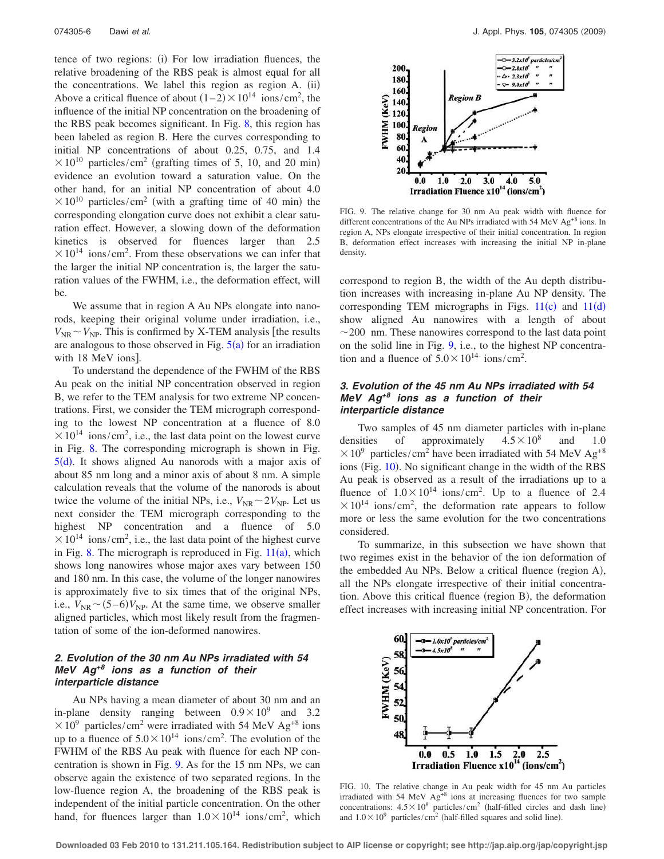tence of two regions: (i) For low irradiation fluences, the relative broadening of the RBS peak is almost equal for all the concentrations. We label this region as region A. (ii) Above a critical fluence of about  $(1-2) \times 10^{14}$  ions/cm<sup>2</sup>, the influence of the initial NP concentration on the broadening of the RBS peak becomes significant. In Fig. 8, this region has been labeled as region B. Here the curves corresponding to initial NP concentrations of about 0.25, 0.75, and 1.4  $\times 10^{10}$  particles/cm<sup>2</sup> (grafting times of 5, 10, and 20 min) evidence an evolution toward a saturation value. On the other hand, for an initial NP concentration of about 4.0  $\times 10^{10}$  particles/cm<sup>2</sup> (with a grafting time of 40 min) the corresponding elongation curve does not exhibit a clear saturation effect. However, a slowing down of the deformation kinetics is observed for fluences larger than 2.5  $\times 10^{14}$  ions/cm<sup>2</sup>. From these observations we can infer that the larger the initial NP concentration is, the larger the saturation values of the FWHM, i.e., the deformation effect, will be.

We assume that in region A Au NPs elongate into nanorods, keeping their original volume under irradiation, i.e.,  $V_{\text{NR}} \sim V_{\text{NP}}$ . This is confirmed by X-TEM analysis [the results are analogous to those observed in Fig.  $5(a)$  for an irradiation with 18 MeV ions].

To understand the dependence of the FWHM of the RBS Au peak on the initial NP concentration observed in region B, we refer to the TEM analysis for two extreme NP concentrations. First, we consider the TEM micrograph corresponding to the lowest NP concentration at a fluence of 8.0  $\times 10^{14}$  ions/cm<sup>2</sup>, i.e., the last data point on the lowest curve in Fig. 8. The corresponding micrograph is shown in Fig.  $5(d)$ . It shows aligned Au nanorods with a major axis of about 85 nm long and a minor axis of about 8 nm. A simple calculation reveals that the volume of the nanorods is about twice the volume of the initial NPs, i.e.,  $V_{\text{NR}} \sim 2V_{\text{NP}}$ . Let us next consider the TEM micrograph corresponding to the highest NP concentration and a fluence of 5.0  $\times 10^{14}$  ions/cm<sup>2</sup>, i.e., the last data point of the highest curve in Fig. 8. The micrograph is reproduced in Fig.  $11(a)$ , which shows long nanowires whose major axes vary between 150 and 180 nm. In this case, the volume of the longer nanowires is approximately five to six times that of the original NPs, i.e.,  $V_{NR} \sim (5-6)V_{NP}$ . At the same time, we observe smaller aligned particles, which most likely result from the fragmentation of some of the ion-deformed nanowires.

# **2. Evolution of the 30 nm Au NPs irradiated with 54 MeV Ag+8 ions as a function of their interparticle distance**

Au NPs having a mean diameter of about 30 nm and an in-plane density ranging between  $0.9 \times 10^9$  and 3.2  $\times 10^{9}$  particles/cm<sup>2</sup> were irradiated with 54 MeV Ag<sup>+8</sup> ions up to a fluence of  $5.0 \times 10^{14}$  ions/cm<sup>2</sup>. The evolution of the FWHM of the RBS Au peak with fluence for each NP concentration is shown in Fig. 9. As for the 15 nm NPs, we can observe again the existence of two separated regions. In the low-fluence region A, the broadening of the RBS peak is independent of the initial particle concentration. On the other hand, for fluences larger than  $1.0 \times 10^{14}$  ions/cm<sup>2</sup>, which



FIG. 9. The relative change for 30 nm Au peak width with fluence for different concentrations of the Au NPs irradiated with 54 MeV  $Ag^{+8}$  ions. In region A, NPs elongate irrespective of their initial concentration. In region B, deformation effect increases with increasing the initial NP in-plane density.

correspond to region B, the width of the Au depth distribution increases with increasing in-plane Au NP density. The corresponding TEM micrographs in Figs.  $11(c)$  and  $11(d)$ show aligned Au nanowires with a length of about  $\sim$ 200 nm. These nanowires correspond to the last data point on the solid line in Fig. 9, i.e., to the highest NP concentration and a fluence of  $5.0 \times 10^{14}$  ions/cm<sup>2</sup>.

# **3. Evolution of the 45 nm Au NPs irradiated with 54 MeV Ag+8 ions as a function of their interparticle distance**

Two samples of 45 nm diameter particles with in-plane densities of approximately  $4.5 \times 10^8$ and 1.0  $\times 10^9$  particles/cm<sup>2</sup> have been irradiated with 54 MeV Ag<sup>+8</sup> ions (Fig. 10). No significant change in the width of the RBS Au peak is observed as a result of the irradiations up to a fluence of  $1.0 \times 10^{14}$  ions/cm<sup>2</sup>. Up to a fluence of 2.4  $\times 10^{14}$  ions/cm<sup>2</sup>, the deformation rate appears to follow more or less the same evolution for the two concentrations considered.

To summarize, in this subsection we have shown that two regimes exist in the behavior of the ion deformation of the embedded Au NPs. Below a critical fluence (region A), all the NPs elongate irrespective of their initial concentration. Above this critical fluence (region B), the deformation effect increases with increasing initial NP concentration. For



FIG. 10. The relative change in Au peak width for 45 nm Au particles irradiated with 54 MeV Ag<sup>+8</sup> ions at increasing fluences for two sample concentrations:  $4.5 \times 10^8$  particles/cm<sup>2</sup> (half-filled circles and dash line) and  $1.0 \times 10^9$  particles/cm<sup>2</sup> (half-filled squares and solid line).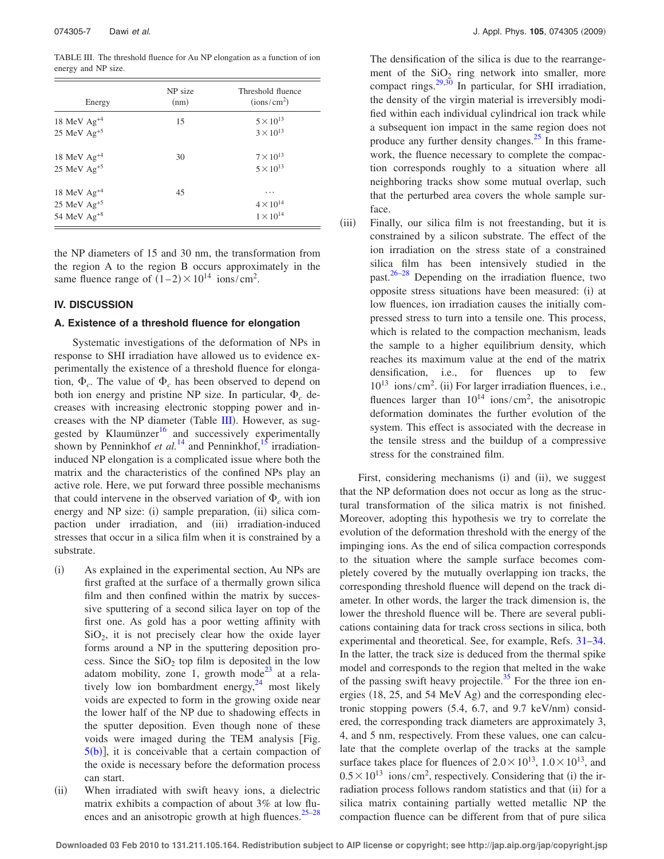TABLE III. The threshold fluence for Au NP elongation as a function of ion energy and NP size.

| Energy           | NP size<br>(nm) | Threshold fluence<br>(ions/cm <sup>2</sup> ) |
|------------------|-----------------|----------------------------------------------|
| 18 MeV $Ag^{+4}$ | 15              | $5 \times 10^{13}$                           |
| 25 MeV $Ag+5$    |                 | $3 \times 10^{13}$                           |
| 18 MeV $Ag+4$    | 30              | $7 \times 10^{13}$                           |
| $25$ MeV $Ag+5$  |                 | $5 \times 10^{13}$                           |
| 18 MeV $Ag^{+4}$ | 45              | .                                            |
| $25$ MeV $Ag+5$  |                 | $4\times10^{14}$                             |
| 54 MeV $Ag^{+8}$ |                 | $1\times10^{14}$                             |

the NP diameters of 15 and 30 nm, the transformation from the region A to the region B occurs approximately in the same fluence range of  $(1-2) \times 10^{14}$  ions/cm<sup>2</sup>.

# **IV. DISCUSSION**

### **A. Existence of a threshold fluence for elongation**

Systematic investigations of the deformation of NPs in response to SHI irradiation have allowed us to evidence experimentally the existence of a threshold fluence for elongation,  $\Phi_c$ . The value of  $\Phi_c$  has been observed to depend on both ion energy and pristine NP size. In particular,  $\Phi_c$  decreases with increasing electronic stopping power and increases with the NP diameter (Table III). However, as suggested by Klaumünzer<sup>16</sup> and successively experimentally shown by Penninkhof *et al.*<sup>14</sup> and Penninkhof,<sup>15</sup> irradiationinduced NP elongation is a complicated issue where both the matrix and the characteristics of the confined NPs play an active role. Here, we put forward three possible mechanisms that could intervene in the observed variation of  $\Phi_c$  with ion energy and NP size: (i) sample preparation, (ii) silica compaction under irradiation, and (iii) irradiation-induced stresses that occur in a silica film when it is constrained by a substrate.

- $(i)$  As explained in the experimental section, Au NPs are first grafted at the surface of a thermally grown silica film and then confined within the matrix by successive sputtering of a second silica layer on top of the first one. As gold has a poor wetting affinity with  $SiO<sub>2</sub>$ , it is not precisely clear how the oxide layer forms around a NP in the sputtering deposition process. Since the  $SiO_2$  top film is deposited in the low adatom mobility, zone 1, growth mode<sup>23</sup> at a relatively low ion bombardment energy, $^{24}$  most likely voids are expected to form in the growing oxide near the lower half of the NP due to shadowing effects in the sputter deposition. Even though none of these voids were imaged during the TEM analysis Fig.  $5(b)$ , it is conceivable that a certain compaction of the oxide is necessary before the deformation process can start.
- $(ii)$  When irradiated with swift heavy ions, a dielectric matrix exhibits a compaction of about 3% at low fluences and an anisotropic growth at high fluences. $25-28$

The densification of the silica is due to the rearrangement of the  $SiO<sub>2</sub>$  ring network into smaller, more compact rings.<sup>29,30</sup> In particular, for SHI irradiation, the density of the virgin material is irreversibly modified within each individual cylindrical ion track while a subsequent ion impact in the same region does not produce any further density changes. $^{25}$  In this framework, the fluence necessary to complete the compaction corresponds roughly to a situation where all neighboring tracks show some mutual overlap, such that the perturbed area covers the whole sample surface.

 $(iii)$  Finally, our silica film is not freestanding, but it is constrained by a silicon substrate. The effect of the ion irradiation on the stress state of a constrained silica film has been intensively studied in the past. $26-28$  Depending on the irradiation fluence, two opposite stress situations have been measured: (i) at low fluences, ion irradiation causes the initially compressed stress to turn into a tensile one. This process, which is related to the compaction mechanism, leads the sample to a higher equilibrium density, which reaches its maximum value at the end of the matrix densification, i.e., for fluences up to few  $10^{13}$  ions/cm<sup>2</sup>. (ii) For larger irradiation fluences, i.e., fluences larger than  $10^{14}$  ions/cm<sup>2</sup>, the anisotropic deformation dominates the further evolution of the system. This effect is associated with the decrease in the tensile stress and the buildup of a compressive stress for the constrained film.

First, considering mechanisms (i) and (ii), we suggest that the NP deformation does not occur as long as the structural transformation of the silica matrix is not finished. Moreover, adopting this hypothesis we try to correlate the evolution of the deformation threshold with the energy of the impinging ions. As the end of silica compaction corresponds to the situation where the sample surface becomes completely covered by the mutually overlapping ion tracks, the corresponding threshold fluence will depend on the track diameter. In other words, the larger the track dimension is, the lower the threshold fluence will be. There are several publications containing data for track cross sections in silica, both experimental and theoretical. See, for example, Refs. 31–34. In the latter, the track size is deduced from the thermal spike model and corresponds to the region that melted in the wake of the passing swift heavy projectile.<sup>35</sup> For the three ion energies (18, 25, and 54 MeV Ag) and the corresponding electronic stopping powers  $(5.4, 6.7,$  and  $9.7 \text{ keV/nm} )$  considered, the corresponding track diameters are approximately 3, 4, and 5 nm, respectively. From these values, one can calculate that the complete overlap of the tracks at the sample surface takes place for fluences of  $2.0 \times 10^{13}$ ,  $1.0 \times 10^{13}$ , and  $0.5 \times 10^{13}$  ions/cm<sup>2</sup>, respectively. Considering that (i) the irradiation process follows random statistics and that (ii) for a silica matrix containing partially wetted metallic NP the compaction fluence can be different from that of pure silica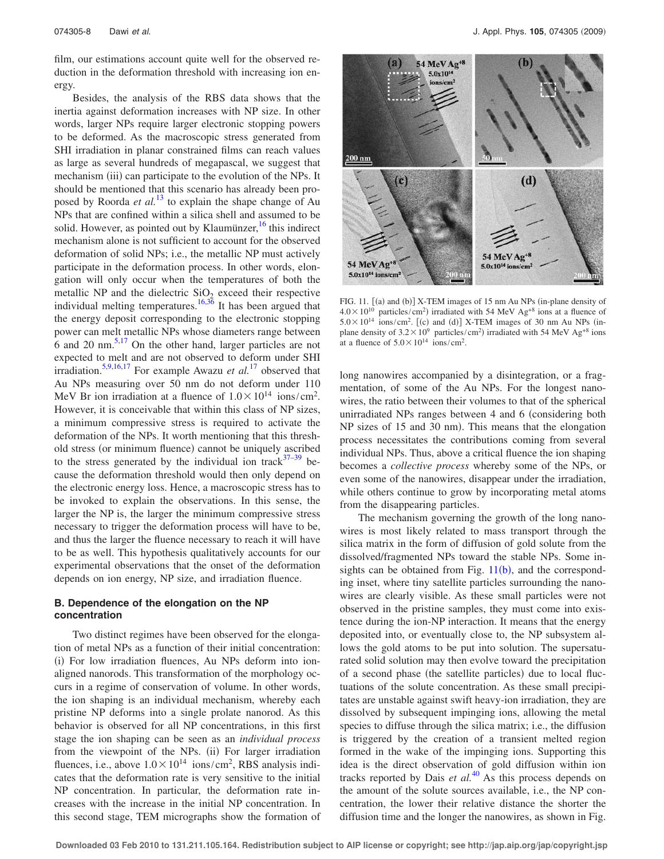film, our estimations account quite well for the observed reduction in the deformation threshold with increasing ion energy.

Besides, the analysis of the RBS data shows that the inertia against deformation increases with NP size. In other words, larger NPs require larger electronic stopping powers to be deformed. As the macroscopic stress generated from SHI irradiation in planar constrained films can reach values as large as several hundreds of megapascal, we suggest that mechanism (iii) can participate to the evolution of the NPs. It should be mentioned that this scenario has already been proposed by Roorda *et al.*<sup>13</sup> to explain the shape change of Au NPs that are confined within a silica shell and assumed to be solid. However, as pointed out by Klaumünzer, $16$  this indirect mechanism alone is not sufficient to account for the observed deformation of solid NPs; i.e., the metallic NP must actively participate in the deformation process. In other words, elongation will only occur when the temperatures of both the metallic NP and the dielectric  $SiO<sub>2</sub>$  exceed their respective individual melting temperatures.<sup>16,36</sup> It has been argued that the energy deposit corresponding to the electronic stopping power can melt metallic NPs whose diameters range between 6 and 20 nm.5,17 On the other hand, larger particles are not expected to melt and are not observed to deform under SHI irradiation.5,9,16,17 For example Awazu *et al.*<sup>17</sup> observed that Au NPs measuring over 50 nm do not deform under 110 MeV Br ion irradiation at a fluence of  $1.0 \times 10^{14}$  ions/cm<sup>2</sup>. However, it is conceivable that within this class of NP sizes, a minimum compressive stress is required to activate the deformation of the NPs. It worth mentioning that this threshold stress (or minimum fluence) cannot be uniquely ascribed to the stress generated by the individual ion track  $37-39$  because the deformation threshold would then only depend on the electronic energy loss. Hence, a macroscopic stress has to be invoked to explain the observations. In this sense, the larger the NP is, the larger the minimum compressive stress necessary to trigger the deformation process will have to be, and thus the larger the fluence necessary to reach it will have to be as well. This hypothesis qualitatively accounts for our experimental observations that the onset of the deformation depends on ion energy, NP size, and irradiation fluence.

# **B. Dependence of the elongation on the NP concentration**

Two distinct regimes have been observed for the elongation of metal NPs as a function of their initial concentration: (i) For low irradiation fluences, Au NPs deform into ionaligned nanorods. This transformation of the morphology occurs in a regime of conservation of volume. In other words, the ion shaping is an individual mechanism, whereby each pristine NP deforms into a single prolate nanorod. As this behavior is observed for all NP concentrations, in this first stage the ion shaping can be seen as an *individual process* from the viewpoint of the NPs. (ii) For larger irradiation fluences, i.e., above  $1.0 \times 10^{14}$  ions/cm<sup>2</sup>, RBS analysis indicates that the deformation rate is very sensitive to the initial NP concentration. In particular, the deformation rate increases with the increase in the initial NP concentration. In this second stage, TEM micrographs show the formation of



FIG. 11.  $[(a)$  and  $(b)]$  X-TEM images of 15 nm Au NPs (in-plane density of  $4.0 \times 10^{10}$  particles/cm<sup>2</sup>) irradiated with 54 MeV Ag<sup>+8</sup> ions at a fluence of  $5.0 \times 10^{14}$  ions/cm<sup>2</sup>. [(c) and (d)] X-TEM images of 30 nm Au NPs (inplane density of  $3.2 \times 10^9$  particles/cm<sup>2</sup>) irradiated with 54 MeV Ag<sup>+8</sup> ions at a fluence of  $5.0 \times 10^{14}$  ions/cm<sup>2</sup>.

long nanowires accompanied by a disintegration, or a fragmentation, of some of the Au NPs. For the longest nanowires, the ratio between their volumes to that of the spherical unirradiated NPs ranges between 4 and 6 (considering both NP sizes of 15 and 30 nm). This means that the elongation process necessitates the contributions coming from several individual NPs. Thus, above a critical fluence the ion shaping becomes a *collective process* whereby some of the NPs, or even some of the nanowires, disappear under the irradiation, while others continue to grow by incorporating metal atoms from the disappearing particles.

The mechanism governing the growth of the long nanowires is most likely related to mass transport through the silica matrix in the form of diffusion of gold solute from the dissolved/fragmented NPs toward the stable NPs. Some insights can be obtained from Fig.  $11(b)$ , and the corresponding inset, where tiny satellite particles surrounding the nanowires are clearly visible. As these small particles were not observed in the pristine samples, they must come into existence during the ion-NP interaction. It means that the energy deposited into, or eventually close to, the NP subsystem allows the gold atoms to be put into solution. The supersaturated solid solution may then evolve toward the precipitation of a second phase (the satellite particles) due to local fluctuations of the solute concentration. As these small precipitates are unstable against swift heavy-ion irradiation, they are dissolved by subsequent impinging ions, allowing the metal species to diffuse through the silica matrix; i.e., the diffusion is triggered by the creation of a transient melted region formed in the wake of the impinging ions. Supporting this idea is the direct observation of gold diffusion within ion tracks reported by Dais *et al.*<sup>40</sup> As this process depends on the amount of the solute sources available, i.e., the NP concentration, the lower their relative distance the shorter the diffusion time and the longer the nanowires, as shown in Fig.